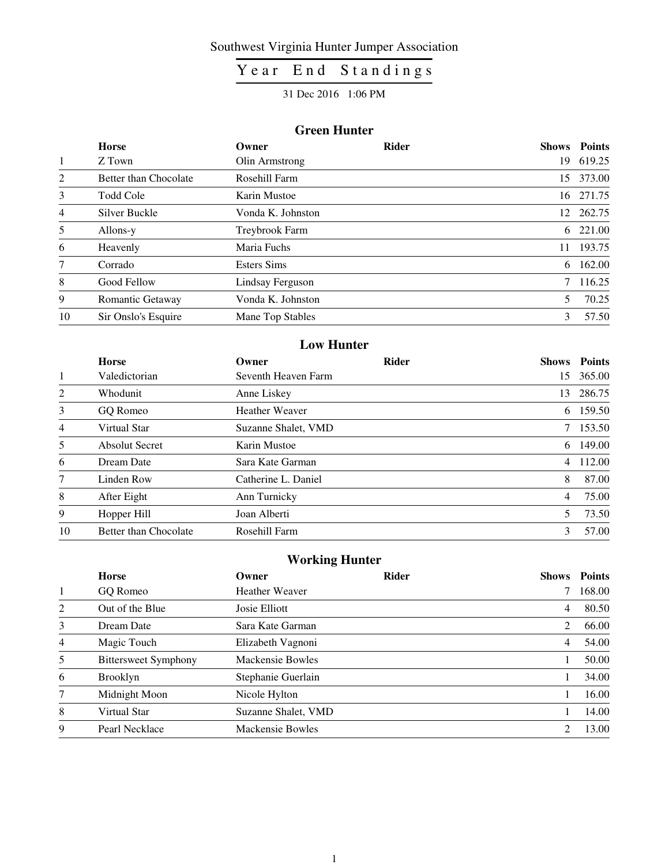### Southwest Virginia Hunter Jumper Association

# $Year$   $\overline{En}$  d  $Standings$

#### 31 Dec 2016 1:06 PM

#### **Green Hunter**

|                | <b>Horse</b>          | Owner              | <b>Rider</b> |    | <b>Shows</b> Points |
|----------------|-----------------------|--------------------|--------------|----|---------------------|
| 1              | Z Town                | Olin Armstrong     |              | 19 | 619.25              |
| 2              | Better than Chocolate | Rosehill Farm      |              | 15 | 373.00              |
| 3              | Todd Cole             | Karin Mustoe       |              | 16 | 271.75              |
| $\overline{4}$ | Silver Buckle         | Vonda K. Johnston  |              |    | 12 262.75           |
| 5              | Allons-y              | Treybrook Farm     |              |    | 6 221.00            |
| 6              | Heavenly              | Maria Fuchs        |              | 11 | 193.75              |
| 7              | Corrado               | <b>Esters Sims</b> |              | 6  | 162.00              |
| 8              | Good Fellow           | Lindsay Ferguson   |              | 7  | 116.25              |
| 9              | Romantic Getaway      | Vonda K. Johnston  |              | 5  | 70.25               |
| 10             | Sir Onslo's Esquire   | Mane Top Stables   |              | 3  | 57.50               |

#### **Low Hunter**

|                | <b>Horse</b>          | Owner                 | <b>Rider</b> | Shows          | <b>Points</b> |
|----------------|-----------------------|-----------------------|--------------|----------------|---------------|
| $\mathbf{1}$   | Valedictorian         | Seventh Heaven Farm   |              | 15             | 365.00        |
| 2              | Whodunit              | Anne Liskey           |              | 13             | 286.75        |
| 3              | GO Romeo              | <b>Heather Weaver</b> |              | 6              | 159.50        |
| $\overline{4}$ | Virtual Star          | Suzanne Shalet, VMD   |              | 7              | 153.50        |
| 5              | <b>Absolut Secret</b> | Karin Mustoe          |              | 6              | 149.00        |
| 6              | Dream Date            | Sara Kate Garman      |              | $\overline{4}$ | 112.00        |
| 7              | Linden Row            | Catherine L. Daniel   |              | 8              | 87.00         |
| 8              | After Eight           | Ann Turnicky          |              | 4              | 75.00         |
| 9              | Hopper Hill           | Joan Alberti          |              | 5.             | 73.50         |
| 10             | Better than Chocolate | Rosehill Farm         |              | 3              | 57.00         |

### **Working Hunter**

|   | <b>Horse</b>                | Owner                 | <b>Rider</b> | <b>Shows</b> | <b>Points</b> |
|---|-----------------------------|-----------------------|--------------|--------------|---------------|
| 1 | GQ Romeo                    | <b>Heather Weaver</b> |              |              | 168.00        |
| 2 | Out of the Blue             | Josie Elliott         |              | 4            | 80.50         |
| 3 | Dream Date                  | Sara Kate Garman      |              | 2            | 66.00         |
| 4 | Magic Touch                 | Elizabeth Vagnoni     |              | 4            | 54.00         |
| 5 | <b>Bittersweet Symphony</b> | Mackensie Bowles      |              |              | 50.00         |
| 6 | <b>Brooklyn</b>             | Stephanie Guerlain    |              |              | 34.00         |
| 7 | Midnight Moon               | Nicole Hylton         |              |              | 16.00         |
| 8 | Virtual Star                | Suzanne Shalet, VMD   |              |              | 14.00         |
| 9 | Pearl Necklace              | Mackensie Bowles      |              |              | 13.00         |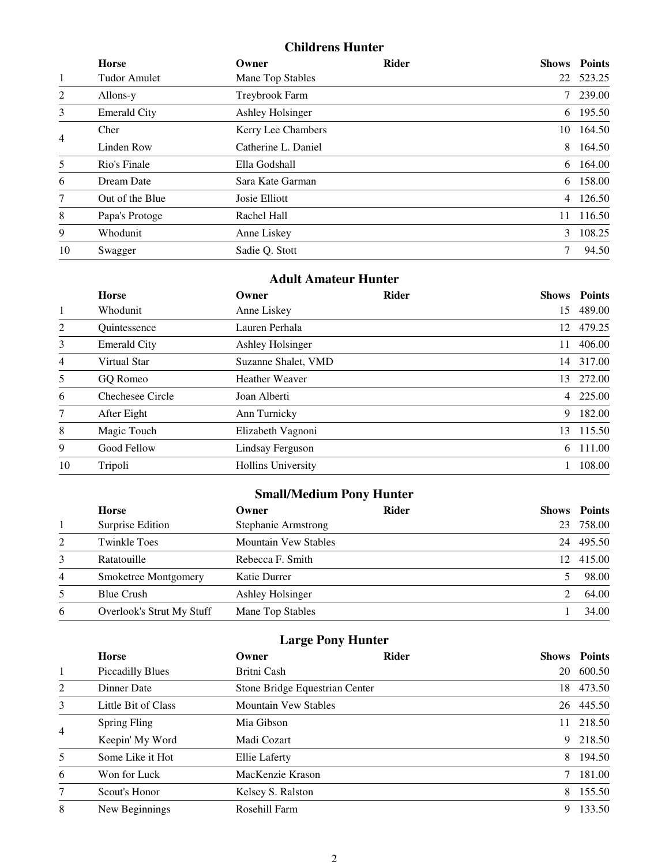### **Childrens Hunter**

|                | <b>Horse</b>        | Owner                   | <b>Rider</b> |    | <b>Shows</b> Points |
|----------------|---------------------|-------------------------|--------------|----|---------------------|
| 1              | <b>Tudor Amulet</b> | Mane Top Stables        |              | 22 | 523.25              |
| 2              | Allons-y            | Treybrook Farm          |              |    | 7 239.00            |
| 3              | <b>Emerald City</b> | <b>Ashley Holsinger</b> |              |    | 6 195.50            |
| $\overline{4}$ | Cher                | Kerry Lee Chambers      |              | 10 | 164.50              |
|                | Linden Row          | Catherine L. Daniel     |              | 8  | 164.50              |
| 5              | Rio's Finale        | Ella Godshall           |              | 6  | 164.00              |
| 6              | Dream Date          | Sara Kate Garman        |              | 6  | 158.00              |
| 7              | Out of the Blue     | Josie Elliott           |              |    | 4 126.50            |
| 8              | Papa's Protoge      | Rachel Hall             |              | 11 | 116.50              |
| 9              | Whodunit            | Anne Liskey             |              | 3  | 108.25              |
| 10             | Swagger             | Sadie Q. Stott          |              | 7  | 94.50               |

### **Adult Amateur Hunter**

|                | <b>Horse</b>        | Owner                     | <b>Rider</b> |    | <b>Shows</b> Points |
|----------------|---------------------|---------------------------|--------------|----|---------------------|
| 1              | Whodunit            | Anne Liskey               |              | 15 | 489.00              |
| $\overline{2}$ | Quintessence        | Lauren Perhala            |              | 12 | 479.25              |
| 3              | <b>Emerald City</b> | <b>Ashley Holsinger</b>   |              | 11 | 406.00              |
| $\overline{4}$ | Virtual Star        | Suzanne Shalet, VMD       |              |    | 14 317.00           |
| 5              | GO Romeo            | <b>Heather Weaver</b>     |              | 13 | 272.00              |
| 6              | Chechesee Circle    | Joan Alberti              |              |    | 4 225.00            |
| 7              | After Eight         | Ann Turnicky              |              | 9  | 182.00              |
| 8              | Magic Touch         | Elizabeth Vagnoni         |              | 13 | 115.50              |
| 9              | Good Fellow         | Lindsay Ferguson          |              | 6  | 111.00              |
| 10             | Tripoli             | <b>Hollins University</b> |              |    | 108.00              |

# **Small/Medium Pony Hunter**

|                | <b>Horse</b>              | Owner                       | <b>Rider</b> | <b>Shows</b> | <b>Points</b> |
|----------------|---------------------------|-----------------------------|--------------|--------------|---------------|
|                | Surprise Edition          | Stephanie Armstrong         |              | 23           | 758.00        |
| 2              | <b>Twinkle Toes</b>       | <b>Mountain Vew Stables</b> |              | 24           | 495.50        |
| 3              | Ratatouille               | Rebecca F. Smith            |              | 12.          | 415.00        |
| $\overline{4}$ | Smoketree Montgomery      | Katie Durrer                |              |              | 98.00         |
| 5              | <b>Blue Crush</b>         | Ashley Holsinger            |              |              | 64.00         |
| 6              | Overlook's Strut My Stuff | Mane Top Stables            |              |              | 34.00         |

# **Large Pony Hunter**

|                | <b>Horse</b>            | Owner                          | <b>Rider</b> | <b>Shows</b> | <b>Points</b> |
|----------------|-------------------------|--------------------------------|--------------|--------------|---------------|
| 1              | <b>Piccadilly Blues</b> | Britni Cash                    |              | 20           | 600.50        |
| 2              | Dinner Date             | Stone Bridge Equestrian Center |              | 18           | 473.50        |
| 3              | Little Bit of Class     | <b>Mountain Vew Stables</b>    |              | 26           | 445.50        |
| $\overline{4}$ | <b>Spring Fling</b>     | Mia Gibson                     |              | 11           | 218.50        |
|                | Keepin' My Word         | Madi Cozart                    |              | 9            | 218.50        |
| 5              | Some Like it Hot        | Ellie Laferty                  |              | 8            | 194.50        |
| 6              | Won for Luck            | MacKenzie Krason               |              |              | 181.00        |
| 7              | Scout's Honor           | Kelsey S. Ralston              |              | 8            | 155.50        |
| 8              | New Beginnings          | Rosehill Farm                  |              | 9            | 133.50        |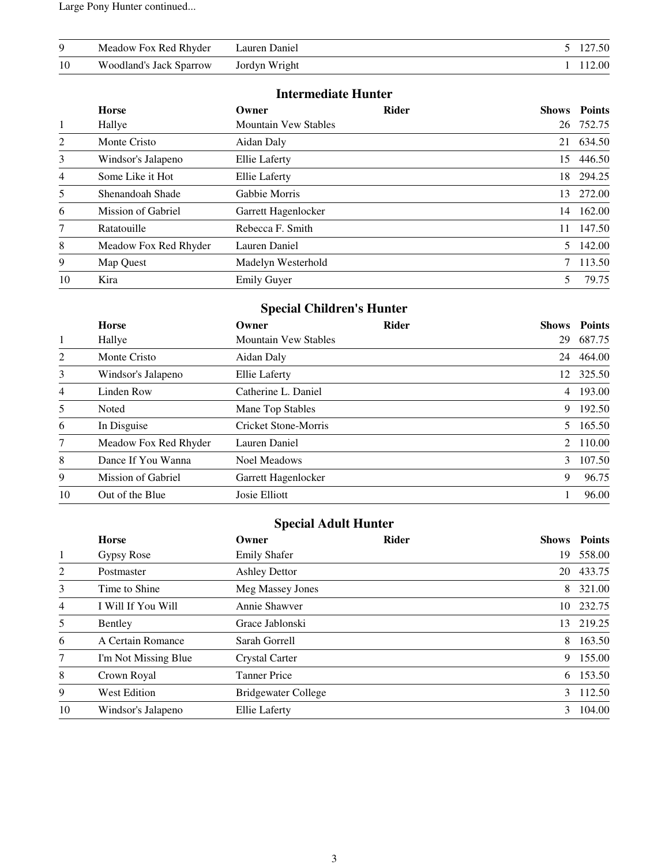Large Pony Hunter continued...

| 9  | Meadow Fox Red Rhyder          | Lauren Daniel |                |
|----|--------------------------------|---------------|----------------|
| 10 | <b>Woodland's Jack Sparrow</b> | Jordyn Wright | 0 <sup>0</sup> |

#### **Intermediate Hunter**

|    | <b>Horse</b>              | Owner                       | <b>Rider</b> |    | <b>Shows</b> Points |
|----|---------------------------|-----------------------------|--------------|----|---------------------|
| 1  | Hallye                    | <b>Mountain Vew Stables</b> |              |    | 26 752.75           |
| 2  | Monte Cristo              | Aidan Daly                  |              | 21 | 634.50              |
| 3  | Windsor's Jalapeno        | <b>Ellie Laferty</b>        |              | 15 | 446.50              |
| 4  | Some Like it Hot          | Ellie Laferty               |              | 18 | 294.25              |
| 5  | Shenandoah Shade          | Gabbie Morris               |              | 13 | 272.00              |
| 6  | <b>Mission of Gabriel</b> | Garrett Hagenlocker         |              | 14 | 162.00              |
| 7  | Ratatouille               | Rebecca F. Smith            |              | 11 | 147.50              |
| 8  | Meadow Fox Red Rhyder     | Lauren Daniel               |              | 5  | 142.00              |
| 9  | Map Quest                 | Madelyn Westerhold          |              | 7  | 113.50              |
| 10 | Kira                      | <b>Emily Guyer</b>          |              | 5  | 79.75               |

# **Special Children's Hunter**

|    | <b>Horse</b>          | Owner                       | <b>Rider</b> | <b>Shows</b>  | <b>Points</b> |
|----|-----------------------|-----------------------------|--------------|---------------|---------------|
| 1  | Hallye                | <b>Mountain Vew Stables</b> |              | 29            | 687.75        |
| 2  | Monte Cristo          | Aidan Daly                  |              | 24            | 464.00        |
| 3  | Windsor's Jalapeno    | <b>Ellie Laferty</b>        |              | 12            | 325.50        |
| 4  | Linden Row            | Catherine L. Daniel         |              |               | 4 193.00      |
| 5  | Noted                 | Mane Top Stables            |              | 9             | 192.50        |
| 6  | In Disguise           | Cricket Stone-Morris        |              | 5             | 165.50        |
| 7  | Meadow Fox Red Rhyder | Lauren Daniel               |              |               | 2 110.00      |
| 8  | Dance If You Wanna    | <b>Noel Meadows</b>         |              | $\mathcal{E}$ | 107.50        |
| 9  | Mission of Gabriel    | Garrett Hagenlocker         |              | 9             | 96.75         |
| 10 | Out of the Blue       | Josie Elliott               |              |               | 96.00         |

## **Special Adult Hunter**

|                | <b>Horse</b>         | Owner                | <b>Rider</b> | <b>Shows</b> | <b>Points</b> |
|----------------|----------------------|----------------------|--------------|--------------|---------------|
| 1              | Gypsy Rose           | <b>Emily Shafer</b>  |              | 19           | 558.00        |
| 2              | Postmaster           | <b>Ashley Dettor</b> |              | 20           | 433.75        |
| 3              | Time to Shine        | Meg Massey Jones     |              | 8            | 321.00        |
| $\overline{4}$ | I Will If You Will   | Annie Shawver        |              | 10.          | 232.75        |
| 5              | <b>Bentley</b>       | Grace Jablonski      |              | 13           | 219.25        |
| 6              | A Certain Romance    | Sarah Gorrell        |              | 8            | 163.50        |
| 7              | I'm Not Missing Blue | Crystal Carter       |              | 9            | 155.00        |
| 8              | Crown Royal          | <b>Tanner Price</b>  |              | 6            | 153.50        |
| 9              | <b>West Edition</b>  | Bridgewater College  |              |              | 3 112.50      |
| 10             | Windsor's Jalapeno   | Ellie Laferty        |              | 3            | 104.00        |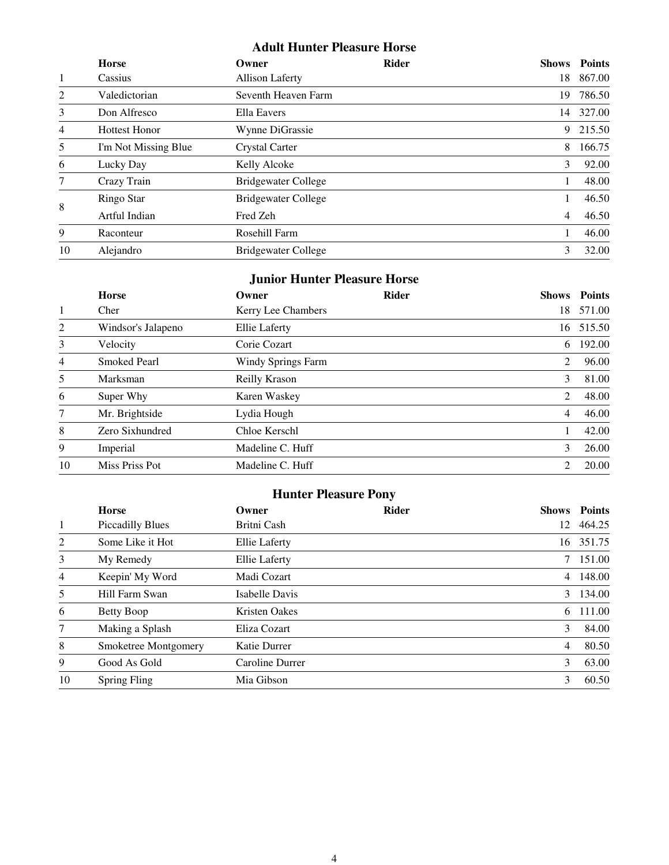### **Adult Hunter Pleasure Horse**

|                | <b>Horse</b>         | Owner                      | <b>Rider</b> | <b>Shows</b>   | <b>Points</b> |
|----------------|----------------------|----------------------------|--------------|----------------|---------------|
| 1              | Cassius              | <b>Allison Laferty</b>     |              | 18             | 867.00        |
| $\overline{2}$ | Valedictorian        | Seventh Heaven Farm        |              | 19             | 786.50        |
| 3              | Don Alfresco         | Ella Eavers                |              | 14             | 327.00        |
| 4              | <b>Hottest Honor</b> | Wynne DiGrassie            |              | 9              | 215.50        |
| 5              | I'm Not Missing Blue | Crystal Carter             |              | 8              | 166.75        |
| 6              | Lucky Day            | Kelly Alcoke               |              | 3              | 92.00         |
| 7              | Crazy Train          | <b>Bridgewater College</b> |              |                | 48.00         |
|                | Ringo Star           | <b>Bridgewater College</b> |              |                | 46.50         |
| 8              | Artful Indian        | Fred Zeh                   |              | $\overline{4}$ | 46.50         |
| 9              | Raconteur            | Rosehill Farm              |              |                | 46.00         |
| 10             | Alejandro            | <b>Bridgewater College</b> |              | 3              | 32.00         |

### **Junior Hunter Pleasure Horse**

|                | <b>Horse</b>        | Owner              | <b>Rider</b> | <b>Shows</b>   | <b>Points</b> |
|----------------|---------------------|--------------------|--------------|----------------|---------------|
| 1              | Cher                | Kerry Lee Chambers |              | 18             | 571.00        |
| 2              | Windsor's Jalapeno  | Ellie Laferty      |              | 16             | 515.50        |
| 3              | Velocity            | Corie Cozart       |              | 6              | 192.00        |
| $\overline{4}$ | <b>Smoked Pearl</b> | Windy Springs Farm |              | 2              | 96.00         |
| 5              | Marksman            | Reilly Krason      |              | 3              | 81.00         |
| 6              | Super Why           | Karen Waskey       |              | 2              | 48.00         |
| 7              | Mr. Brightside      | Lydia Hough        |              | $\overline{4}$ | 46.00         |
| 8              | Zero Sixhundred     | Chloe Kerschl      |              |                | 42.00         |
| 9              | Imperial            | Madeline C. Huff   |              | 3              | 26.00         |
| 10             | Miss Priss Pot      | Madeline C. Huff   |              | $\mathcal{L}$  | 20.00         |

## **Hunter Pleasure Pony**

|                | <b>Horse</b>            | Owner                | <b>Rider</b> |                 | <b>Shows</b> Points |
|----------------|-------------------------|----------------------|--------------|-----------------|---------------------|
| $\mathbf{1}$   | <b>Piccadilly Blues</b> | Britni Cash          |              | 12              | 464.25              |
| 2              | Some Like it Hot        | <b>Ellie Laferty</b> |              | 16              | 351.75              |
| 3              | My Remedy               | <b>Ellie Laferty</b> |              | $7\overline{ }$ | 151.00              |
| $\overline{4}$ | Keepin' My Word         | Madi Cozart          |              | $\overline{4}$  | 148.00              |
| 5              | Hill Farm Swan          | Isabelle Davis       |              | 3               | 134.00              |
| 6              | <b>Betty Boop</b>       | <b>Kristen Oakes</b> |              | 6               | 111.00              |
| 7              | Making a Splash         | Eliza Cozart         |              | 3               | 84.00               |
| 8              | Smoketree Montgomery    | Katie Durrer         |              | $\overline{4}$  | 80.50               |
| 9              | Good As Gold            | Caroline Durrer      |              | 3               | 63.00               |
| 10             | Spring Fling            | Mia Gibson           |              | 3               | 60.50               |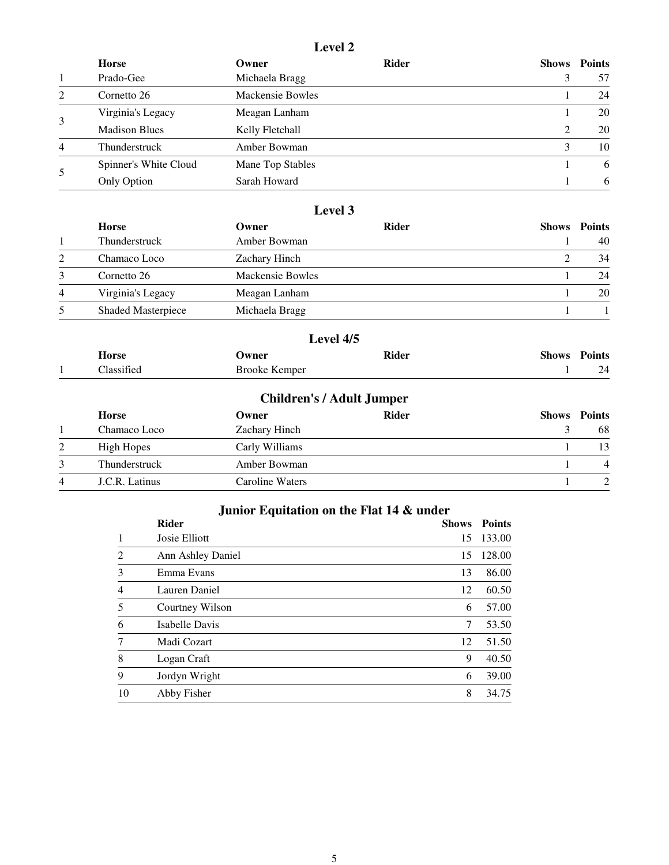#### **Level 2**

|                | <b>Horse</b>          | Owner            | <b>Rider</b> | Shows | <b>Points</b> |
|----------------|-----------------------|------------------|--------------|-------|---------------|
|                | Prado-Gee             | Michaela Bragg   |              |       | 57            |
| $\mathcal{L}$  | Cornetto 26           | Mackensie Bowles |              |       | 24            |
| 3              | Virginia's Legacy     | Meagan Lanham    |              |       | 20            |
|                | <b>Madison Blues</b>  | Kelly Fletchall  |              | 2     | 20            |
| $\overline{4}$ | Thunderstruck         | Amber Bowman     |              |       | 10            |
|                | Spinner's White Cloud | Mane Top Stables |              |       | 6             |
| 5              | Only Option           | Sarah Howard     |              |       | -6            |

#### **Level 3**

|                | <b>Horse</b>              | Owner            | <b>Rider</b> | <b>Shows</b> Points |
|----------------|---------------------------|------------------|--------------|---------------------|
|                | Thunderstruck             | Amber Bowman     |              | 40                  |
| 2              | Chamaco Loco              | Zachary Hinch    |              | 34                  |
| 3              | Cornetto 26               | Mackensie Bowles |              | 24                  |
| $\overline{4}$ | Virginia's Legacy         | Meagan Lanham    |              | 20                  |
| 5              | <b>Shaded Masterpiece</b> | Michaela Bragg   |              |                     |

### **Level 4/5 Horse Owner Rider Shows Points** 1 Classified Brooke Kemper 1 24

|   | <b>Children's / Adult Jumper</b> |                 |              |  |                     |  |
|---|----------------------------------|-----------------|--------------|--|---------------------|--|
|   | <b>Horse</b>                     | Owner           | <b>Rider</b> |  | <b>Shows</b> Points |  |
|   | Chamaco Loco                     | Zachary Hinch   |              |  | 68                  |  |
| 2 | High Hopes                       | Carly Williams  |              |  | 13                  |  |
| 3 | Thunderstruck                    | Amber Bowman    |              |  | $\overline{4}$      |  |
| 4 | J.C.R. Latinus                   | Caroline Waters |              |  |                     |  |

### **Junior Equitation on the Flat 14 & under**

|    | <b>Rider</b>      | <b>Shows</b> | <b>Points</b> |
|----|-------------------|--------------|---------------|
| 1  | Josie Elliott     | 15           | 133.00        |
| 2  | Ann Ashley Daniel | 15           | 128.00        |
| 3  | Emma Evans        | 13           | 86.00         |
| 4  | Lauren Daniel     | 12           | 60.50         |
| 5  | Courtney Wilson   | 6            | 57.00         |
| 6  | Isabelle Davis    | 7            | 53.50         |
|    | Madi Cozart       | 12           | 51.50         |
| 8  | Logan Craft       | 9            | 40.50         |
| 9  | Jordyn Wright     | 6            | 39.00         |
| 10 | Abby Fisher       | 8            | 34.75         |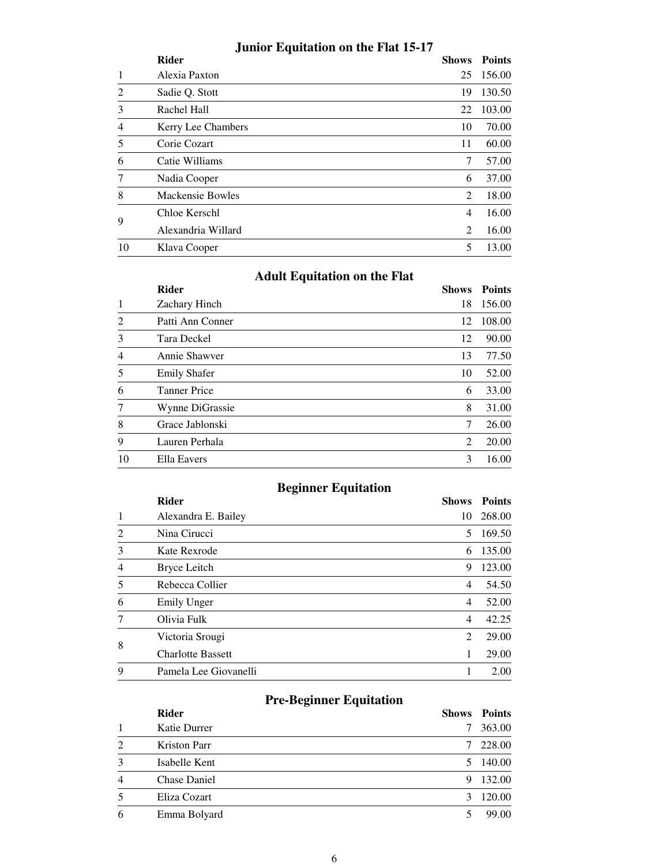## **Junior Equitation on the Flat 15-17**

|                | <b>Rider</b>       | <b>Shows</b>   | <b>Points</b> |
|----------------|--------------------|----------------|---------------|
|                | Alexia Paxton      | 25             | 156.00        |
| $\overline{c}$ | Sadie Q. Stott     | 19             | 130.50        |
| 3              | Rachel Hall        | 22             | 103.00        |
| 4              | Kerry Lee Chambers | 10             | 70.00         |
| 5              | Corie Cozart       | 11             | 60.00         |
| 6              | Catie Williams     | 7              | 57.00         |
| 7              | Nadia Cooper       | 6              | 37.00         |
| 8              | Mackensie Bowles   | 2              | 18.00         |
| 9              | Chloe Kerschl      | $\overline{4}$ | 16.00         |
|                | Alexandria Willard | 2              | 16.00         |
| 10             | Klava Cooper       | 5              | 13.00         |

|  | <b>Adult Equitation on the Flat</b> |  |
|--|-------------------------------------|--|
|--|-------------------------------------|--|

| <b>Rider</b>        | <b>Shows</b> | <b>Points</b> |
|---------------------|--------------|---------------|
| Zachary Hinch       | 18           | 156.00        |
| Patti Ann Conner    | 12           | 108.00        |
| Tara Deckel         | 12           | 90.00         |
| Annie Shawver       | 13           | 77.50         |
| <b>Emily Shafer</b> | 10           | 52.00         |
| <b>Tanner Price</b> | 6            | 33.00         |
| Wynne DiGrassie     | 8            | 31.00         |
| Grace Jablonski     | 7            | 26.00         |
| Lauren Perhala      | 2            | 20.00         |
| Ella Eavers         | 3            | 16.00         |
|                     |              |               |

## **Beginner Equitation**

|                             | <b>Rider</b>             | <b>Shows</b>   | <b>Points</b> |
|-----------------------------|--------------------------|----------------|---------------|
|                             | Alexandra E. Bailey      | 10             | 268.00        |
| $\mathcal{D}_{\mathcal{L}}$ | Nina Cirucci             | 5              | 169.50        |
| 3                           | Kate Rexrode             | 6              | 135.00        |
| $\overline{4}$              | Bryce Leitch             | 9              | 123.00        |
| 5                           | Rebecca Collier          | $\overline{4}$ | 54.50         |
| 6                           | Emily Unger              | $\overline{4}$ | 52.00         |
|                             | Olivia Fulk              | $\overline{4}$ | 42.25         |
| 8                           | Victoria Srougi          | 2              | 29.00         |
|                             | <b>Charlotte Bassett</b> | 1              | 29.00         |
| 9                           | Pamela Lee Giovanelli    |                | 2.00          |
|                             |                          |                |               |

# **Pre-Beginner Equitation**

|                | <b>Rider</b>        | <b>Shows</b> | <b>Points</b> |
|----------------|---------------------|--------------|---------------|
|                | Katie Durrer        |              | 363.00        |
| $\mathfrak{D}$ | Kriston Parr        | 7            | 228.00        |
| 3              | Isabelle Kent       | 5.           | 140.00        |
| 4              | <b>Chase Daniel</b> | 9            | 132.00        |
|                | Eliza Cozart        | 3            | 120.00        |
| 6              | Emma Bolyard        |              | 99.00         |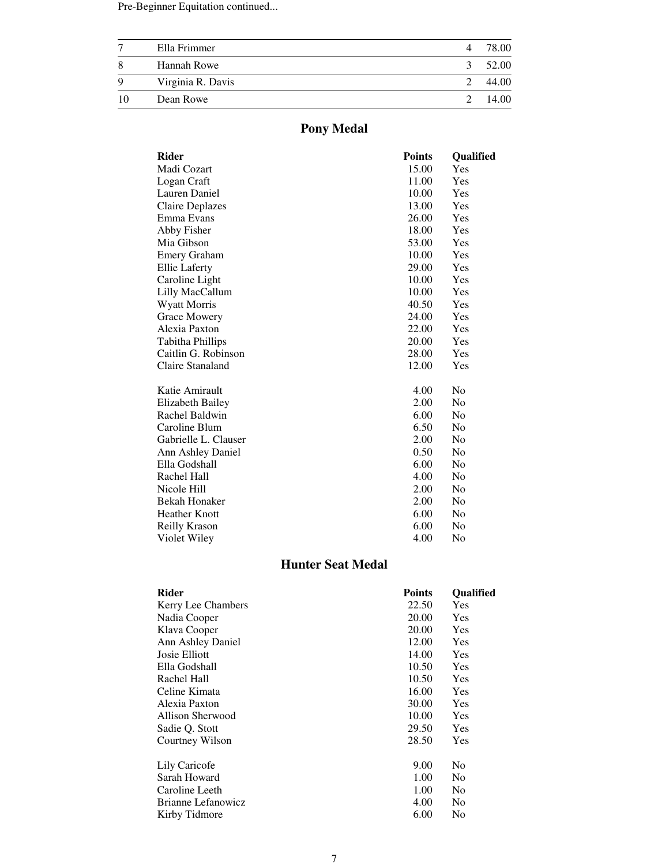Pre-Beginner Equitation continued...

|    | Ella Frimmer      | 4 | 78.00 |
|----|-------------------|---|-------|
| 8  | Hannah Rowe       | 3 | 52.00 |
| Q  | Virginia R. Davis |   | 44.00 |
| 10 | Dean Rowe         |   | 14.00 |

# **Pony Medal**

| <b>Rider</b>            | <b>Points</b> | Qualified      |
|-------------------------|---------------|----------------|
| Madi Cozart             | 15.00         | Yes            |
| Logan Craft             | 11.00         | Yes            |
| Lauren Daniel           | 10.00         | Yes            |
| Claire Deplazes         | 13.00         | Yes            |
| Emma Evans              | 26.00         | Yes            |
| Abby Fisher             | 18.00         | Yes            |
| Mia Gibson              | 53.00         | Yes            |
| <b>Emery Graham</b>     | 10.00         | Yes            |
| Ellie Laferty           | 29.00         | Yes            |
| Caroline Light          | 10.00         | Yes            |
| Lilly MacCallum         | 10.00         | Yes            |
| <b>Wyatt Morris</b>     | 40.50         | Yes            |
| <b>Grace Mowery</b>     | 24.00         | Yes            |
| Alexia Paxton           | 22.00         | Yes            |
| Tabitha Phillips        | 20.00         | Yes            |
| Caitlin G. Robinson     | 28.00         | Yes            |
| Claire Stanaland        | 12.00         | Yes            |
| Katie Amirault          | 4.00          | N <sub>0</sub> |
| <b>Elizabeth Bailey</b> | 2.00          | N <sub>o</sub> |
| Rachel Baldwin          | 6.00          | No             |
| Caroline Blum           | 6.50          | No             |
| Gabrielle L. Clauser    | 2.00          | N <sub>o</sub> |
| Ann Ashley Daniel       | 0.50          | N <sub>0</sub> |
| Ella Godshall           | 6.00          | No             |
| Rachel Hall             | 4.00          | N <sub>o</sub> |
| Nicole Hill             | 2.00          | N <sub>0</sub> |
| <b>Bekah Honaker</b>    | 2.00          | No             |
| <b>Heather Knott</b>    | 6.00          | N <sub>0</sub> |
| <b>Reilly Krason</b>    | 6.00          | No             |
| Violet Wiley            | 4.00          | No             |
|                         |               |                |

### **Hunter Seat Medal**

| Rider                     | <b>Points</b> | <b>Oualified</b> |
|---------------------------|---------------|------------------|
| <b>Kerry Lee Chambers</b> | 22.50         | Yes              |
| Nadia Cooper              | 20.00         | Yes              |
| Klava Cooper              | 20.00         | Yes              |
| Ann Ashley Daniel         | 12.00         | Yes              |
| Josie Elliott             | 14.00         | Yes              |
| Ella Godshall             | 10.50         | Yes              |
| Rachel Hall               | 10.50         | Yes              |
| Celine Kimata             | 16.00         | Yes              |
| Alexia Paxton             | 30.00         | Yes              |
| Allison Sherwood          | 10.00         | Yes              |
| Sadie Q. Stott            | 29.50         | Yes              |
| Courtney Wilson           | 28.50         | Yes              |
| Lily Caricofe             | 9.00          | No               |
| Sarah Howard              | 1.00          | No               |
| Caroline Leeth            | 1.00          | No               |
| Brianne Lefanowicz        | 4.00          | No               |
| Kirby Tidmore             | 6.00          | No               |